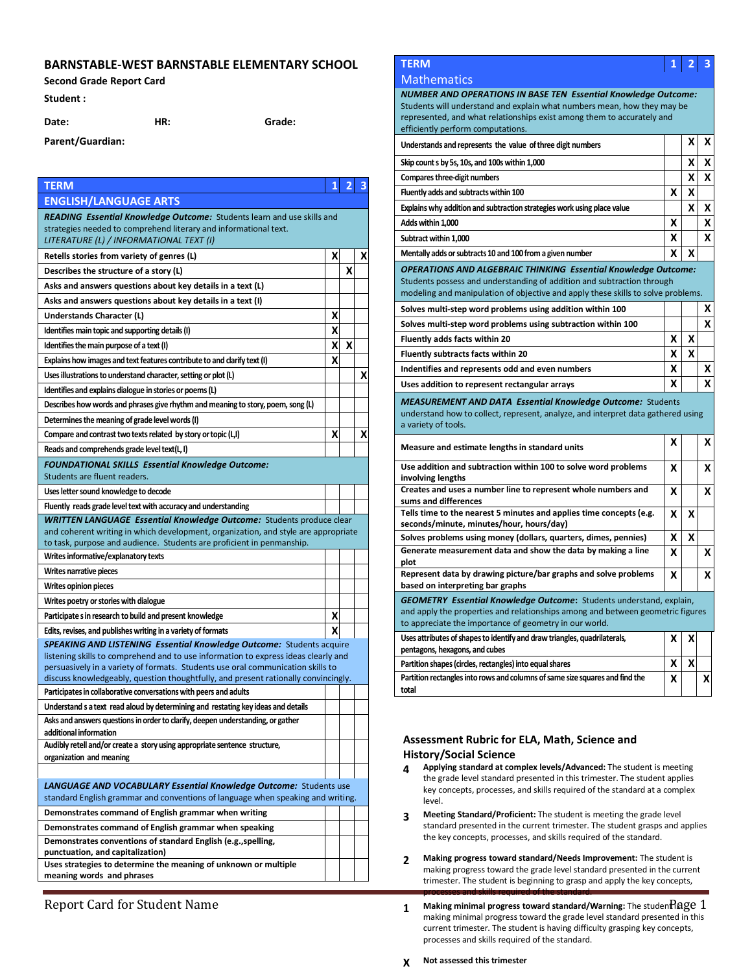### **BARNSTABLE-WEST BARNSTABLE ELEMENTARY SCHOOL**

#### **Second Grade Report Card**

**Student :** 

**Parent/Guardian:**

**Date: HR: Grade:**

**TERM 1 2 3 ENGLISH/LANGUAGE ARTS**  *READING Essential Knowledge Outcome:* Students learn and use skills and strategies needed to comprehend literary and informational text. *LITERATURE (L) / INFORMATIONAL TEXT (I)* **Retells stories from variety of genres (L) X X X X X X Describes the structure of a story (L) X Asks and answers questions about key details in a text (L) Asks and answers questions about key details in a text (I) Understands Character (L) X Identifies main topic and supporting details (I) X Identifies the main purpose of a text (I) X X X X X Explains how images and text features contribute to and clarify text (I) X** Uses illustrations to understand character, setting or plot (L) **X X X X X Identifies and explains dialogue in stories or poems(L) Describes how words and phrases give rhythm and meaning to story, poem, song (L) Determines the meaning of grade level words (I) Compare and contrast two texts related by story or topic (L,I)**  $\times$   $\begin{array}{c} \mathsf{X} & \mathsf{X} \mathsf{X} \end{array}$ **Reads and comprehends grade level text(L, I)** *FOUNDATIONAL SKILLS Essential Knowledge Outcome:*  Students are fluent readers. **Uses letter sound knowledge to decode Fluently reads grade level text with accuracy and understanding** *WRITTEN LANGUAGE Essential Knowledge Outcome:* Students produce clear and coherent writing in which development, organization, and style are appropriate to task, purpose and audience. Students are proficient in penmanship. **Writes informative/explanatory texts Writes narrative pieces Writes opinion pieces Writes poetry or stories with dialogue Participate s in research to build and present knowledge X Edits, revises, and publishes writing in a variety of formats X SPEAKING AND LISTENING Essential Knowledge Outcome: Students acquire** listening skills to comprehend and to use information to express ideas clearly and persuasively in a variety of formats. Students use oral communication skills to discuss knowledgeably, question thoughtfully, and present rationally convincingly. **Participatesin collaborative conversations with peers and adults Understand s a text read aloud by determining and restating key ideas and details Asks and answers questions in order to clarify, deepen understanding, or gather additional information Audibly retell and/or create a story using appropriate sentence structure, organization and meaning**  *LANGUAGE AND VOCABULARY Essential Knowledge Outcome:* Students use standard English grammar and conventions of language when speaking and writing. **Demonstrates command of English grammar when writing Demonstrates command of English grammar when speaking Demonstrates conventions of standard English (e.g.,spelling, punctuation, and capitalization) Uses strategies to determine the meaning of unknown or multiple meaning words and phrases**

# **Mathematics**



*NUMBER AND OPERATIONS IN BASE TEN Essential Knowledge Outcome:*  Students will understand and explain what numbers mean, how they may be represented, and what relationships exist among them to accurately and efficiently perform computations.

| Understands and represents the value of three digit numbers                                                                                                                  |   | х | х |  |
|------------------------------------------------------------------------------------------------------------------------------------------------------------------------------|---|---|---|--|
| Skip count s by 5s, 10s, and 100s within 1,000                                                                                                                               |   | x | x |  |
| Compares three-digit numbers                                                                                                                                                 |   | x | x |  |
| Fluently adds and subtracts within 100                                                                                                                                       | x | x |   |  |
| Explains why addition and subtraction strategies work using place value                                                                                                      |   | x | x |  |
| Adds within 1,000                                                                                                                                                            | x |   | X |  |
| Subtract within 1,000                                                                                                                                                        | x |   | x |  |
| Mentally adds or subtracts 10 and 100 from a given number                                                                                                                    | X | X |   |  |
| <b>OPERATIONS AND ALGEBRAIC THINKING Essential Knowledge Outcome:</b><br>Students possess and understanding of addition and subtraction through                              |   |   |   |  |
| modeling and manipulation of objective and apply these skills to solve problems.                                                                                             |   |   |   |  |
| Solves multi-step word problems using addition within 100                                                                                                                    |   |   | x |  |
| Solves multi-step word problems using subtraction within 100                                                                                                                 |   |   | x |  |
| Fluently adds facts within 20                                                                                                                                                | x | x |   |  |
| <b>Fluently subtracts facts within 20</b>                                                                                                                                    | x | x |   |  |
| Indentifies and represents odd and even numbers                                                                                                                              | x |   | x |  |
| Uses addition to represent rectangular arrays                                                                                                                                | x |   | x |  |
| <b>MEASUREMENT AND DATA Essential Knowledge Outcome: Students</b><br>understand how to collect, represent, analyze, and interpret data gathered using<br>a variety of tools. |   |   |   |  |
| Measure and estimate lengths in standard units                                                                                                                               | x |   | x |  |
| Use addition and subtraction within 100 to solve word problems<br>involving lengths                                                                                          | x |   | x |  |
| Creates and uses a number line to represent whole numbers and<br>sums and differences                                                                                        | x |   | x |  |
| Tells time to the nearest 5 minutes and applies time concepts (e.g.<br>seconds/minute, minutes/hour, hours/day)                                                              | x | x |   |  |
| Solves problems using money (dollars, quarters, dimes, pennies)                                                                                                              | x | x |   |  |
| Generate measurement data and show the data by making a line<br>plot                                                                                                         | X |   | x |  |
| Represent data by drawing picture/bar graphs and solve problems<br>based on interpreting bar graphs                                                                          | x |   | x |  |
| <b>GEOMETRY Essential Knowledge Outcome:</b> Students understand, explain,<br>and apply the properties and relationships among and between geometric figures                 |   |   |   |  |
| to appreciate the importance of geometry in our world.                                                                                                                       |   |   |   |  |
| Uses attributes of shapes to identify and draw triangles, quadrilaterals,                                                                                                    | x | x |   |  |
| pentagons, hexagons, and cubes                                                                                                                                               |   |   |   |  |
| Partition shapes (circles, rectangles) into equal shares<br>Partition rectangles into rows and columns of same size squares and find the                                     | x | x | x |  |

## **Assessment Rubric for ELA, Math, Science and History/Social Science**

- **4 Applying standard at complex levels/Advanced:** The student is meeting the grade level standard presented in this trimester. The student applies key concepts, processes, and skills required of the standard at a complex level.
- **3 Meeting Standard/Proficient:** The student is meeting the grade level standard presented in the current trimester. The student grasps and applies the key concepts, processes, and skills required of the standard.
- **2 Making progress toward standard/Needs Improvement:** The student is making progress toward the grade level standard presented in the current trimester. The student is beginning to grasp and apply the key concepts, processes and skills required of the standard.
- Report Card for Student Name **Page 1 1 Making minimal progress toward standard/Warning**: The studen **Page 1** making minimal progress toward the grade level standard presented in this current trimester. The student is having difficulty grasping key concepts, processes and skills required of the standard.

#### **X Not assessed this trimester**